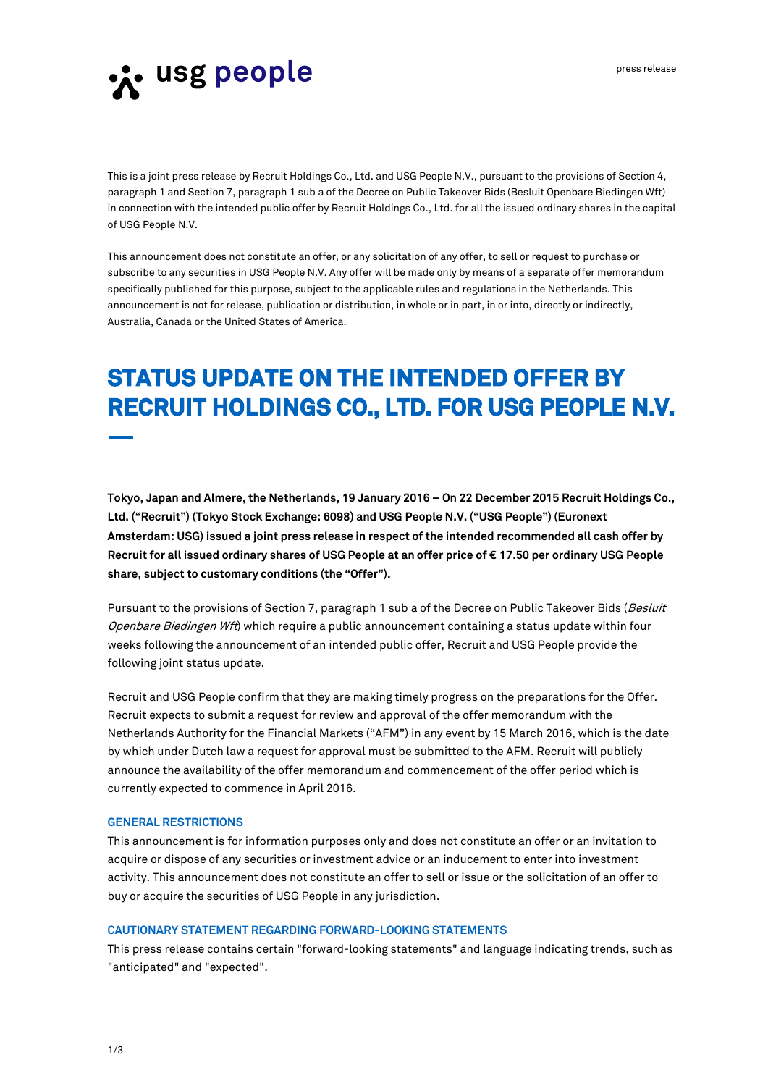

This is a joint press release by Recruit Holdings Co., Ltd. and USG People N.V., pursuant to the provisions of Section 4, paragraph 1 and Section 7, paragraph 1 sub a of the Decree on Public Takeover Bids (Besluit Openbare Biedingen Wft) in connection with the intended public offer by Recruit Holdings Co., Ltd. for all the issued ordinary shares in the capital of USG People N.V.

This announcement does not constitute an offer, or any solicitation of any offer, to sell or request to purchase or subscribe to any securities in USG People N.V. Any offer will be made only by means of a separate offer memorandum specifically published for this purpose, subject to the applicable rules and regulations in the Netherlands. This announcement is not for release, publication or distribution, in whole or in part, in or into, directly or indirectly, Australia, Canada or the United States of America.

# **STATUS UPDATE ON THE INTENDED OFFER BY** RECRUIT HOLDINGS CO., LTD. FOR USG PEOPLE N.V.

**Tokyo, Japan and Almere, the Netherlands, 19 January 2016 – On 22 December 2015 Recruit Holdings Co., Ltd. ("Recruit") (Tokyo Stock Exchange: 6098) and USG People N.V. ("USG People") (Euronext Amsterdam: USG) issued a joint press release in respect of the intended recommended all cash offer by Recruit for all issued ordinary shares of USG People at an offer price of € 17.50 per ordinary USG People share, subject to customary conditions (the "Offer").**

Pursuant to the provisions of Section 7, paragraph 1 sub a of the Decree on Public Takeover Bids (Besluit Openbare Biedingen Wft) which require a public announcement containing a status update within four weeks following the announcement of an intended public offer, Recruit and USG People provide the following joint status update.

Recruit and USG People confirm that they are making timely progress on the preparations for the Offer. Recruit expects to submit a request for review and approval of the offer memorandum with the Netherlands Authority for the Financial Markets ("AFM") in any event by 15 March 2016, which is the date by which under Dutch law a request for approval must be submitted to the AFM. Recruit will publicly announce the availability of the offer memorandum and commencement of the offer period which is currently expected to commence in April 2016.

# **GENERAL RESTRICTIONS**

This announcement is for information purposes only and does not constitute an offer or an invitation to acquire or dispose of any securities or investment advice or an inducement to enter into investment activity. This announcement does not constitute an offer to sell or issue or the solicitation of an offer to buy or acquire the securities of USG People in any jurisdiction.

# **CAUTIONARY STATEMENT REGARDING FORWARD-LOOKING STATEMENTS**

This press release contains certain "forward-looking statements" and language indicating trends, such as "anticipated" and "expected".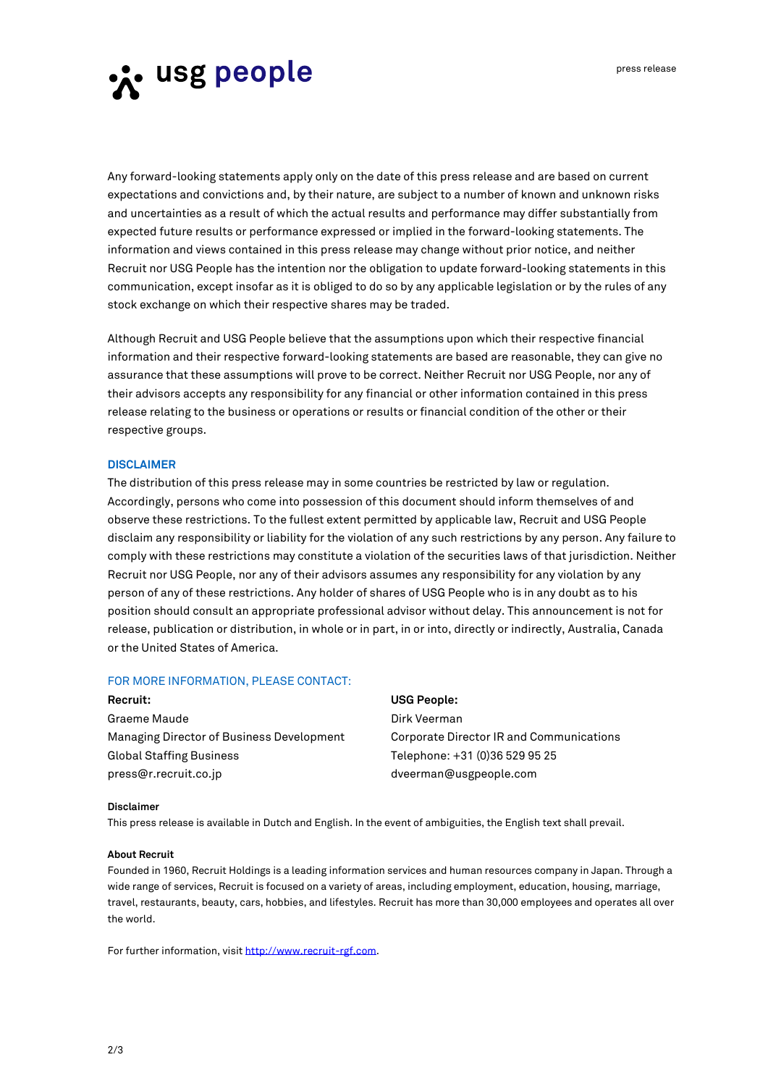**, usg people** 

Any forward-looking statements apply only on the date of this press release and are based on current expectations and convictions and, by their nature, are subject to a number of known and unknown risks and uncertainties as a result of which the actual results and performance may differ substantially from expected future results or performance expressed or implied in the forward-looking statements. The information and views contained in this press release may change without prior notice, and neither Recruit nor USG People has the intention nor the obligation to update forward-looking statements in this communication, except insofar as it is obliged to do so by any applicable legislation or by the rules of any stock exchange on which their respective shares may be traded.

Although Recruit and USG People believe that the assumptions upon which their respective financial information and their respective forward-looking statements are based are reasonable, they can give no assurance that these assumptions will prove to be correct. Neither Recruit nor USG People, nor any of their advisors accepts any responsibility for any financial or other information contained in this press release relating to the business or operations or results or financial condition of the other or their respective groups.

## **DISCLAIMER**

The distribution of this press release may in some countries be restricted by law or regulation. Accordingly, persons who come into possession of this document should inform themselves of and observe these restrictions. To the fullest extent permitted by applicable law, Recruit and USG People disclaim any responsibility or liability for the violation of any such restrictions by any person. Any failure to comply with these restrictions may constitute a violation of the securities laws of that jurisdiction. Neither Recruit nor USG People, nor any of their advisors assumes any responsibility for any violation by any person of any of these restrictions. Any holder of shares of USG People who is in any doubt as to his position should consult an appropriate professional advisor without delay. This announcement is not for release, publication or distribution, in whole or in part, in or into, directly or indirectly, Australia, Canada or the United States of America.

# FOR MORE INFORMATION, PLEASE CONTACT:

# **Recruit: USG People:** Graeme Maude **Dirk Veerman** Global Staffing Business Telephone: +31 (0)36 529 95 25

Managing Director of Business Development Corporate Director IR and Communications press@r.recruit.co.jp dveerman@usgpeople.com

#### **Disclaimer**

This press release is available in Dutch and English. In the event of ambiguities, the English text shall prevail.

### **About Recruit**

Founded in 1960, Recruit Holdings is a leading information services and human resources company in Japan. Through a wide range of services, Recruit is focused on a variety of areas, including employment, education, housing, marriage, travel, restaurants, beauty, cars, hobbies, and lifestyles. Recruit has more than 30,000 employees and operates all over the world.

For further information, visi[t http://www.recruit-rgf.com.](http://www.recruit-rgf.com/)